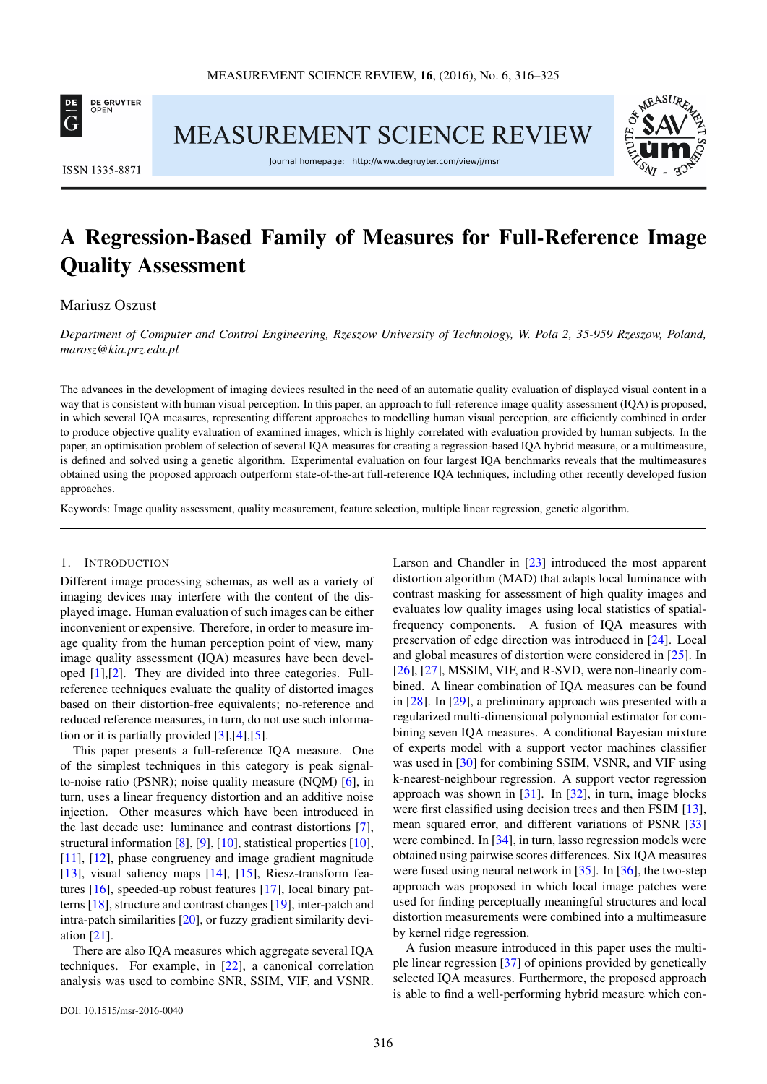

MEASUREMENT SCIENCE REVIEW



ISSN 1335-8871

Journal homepage: http://www.degruyter.com/view/j/msr

# A Regression-Based Family of Measures for Full-Reference Image Quality Assessment

## Mariusz Oszust

*Department of Computer and Control Engineering, Rzeszow University of Technology, W. Pola 2, 35-959 Rzeszow, Poland, [marosz@kia.prz.edu.pl](mailto:marosz@kia.prz.edu.pl)*

The advances in the development of imaging devices resulted in the need of an automatic quality evaluation of displayed visual content in a way that is consistent with human visual perception. In this paper, an approach to full-reference image quality assessment (IQA) is proposed, in which several IQA measures, representing different approaches to modelling human visual perception, are efficiently combined in order to produce objective quality evaluation of examined images, which is highly correlated with evaluation provided by human subjects. In the paper, an optimisation problem of selection of several IQA measures for creating a regression-based IQA hybrid measure, or a multimeasure, is defined and solved using a genetic algorithm. Experimental evaluation on four largest IQA benchmarks reveals that the multimeasures obtained using the proposed approach outperform state-of-the-art full-reference IQA techniques, including other recently developed fusion approaches.

Keywords: Image quality assessment, quality measurement, feature selection, multiple linear regression, genetic algorithm.

## 1. INTRODUCTION

Different image processing schemas, as well as a variety of imaging devices may interfere with the content of the displayed image. Human evaluation of such images can be either inconvenient or expensive. Therefore, in order to measure image quality from the human perception point of view, many image quality assessment (IQA) measures have been developed [\[1\]](#page-7-0),[\[2\]](#page-7-1). They are divided into three categories. Fullreference techniques evaluate the quality of distorted images based on their distortion-free equivalents; no-reference and reduced reference measures, in turn, do not use such information or it is partially provided [\[3\]](#page-7-2),[\[4\]](#page-7-3),[\[5\]](#page-7-4).

This paper presents a full-reference IQA measure. One of the simplest techniques in this category is peak signalto-noise ratio (PSNR); noise quality measure (NQM) [\[6\]](#page-7-5), in turn, uses a linear frequency distortion and an additive noise injection. Other measures which have been introduced in the last decade use: luminance and contrast distortions [\[7\]](#page-7-6), structural information [\[8\]](#page-7-7), [\[9\]](#page-7-8), [\[10\]](#page-7-9), statistical properties [\[10\]](#page-7-9), [\[11\]](#page-8-0), [\[12\]](#page-8-1), phase congruency and image gradient magnitude [\[13\]](#page-8-2), visual saliency maps [\[14\]](#page-8-3), [\[15\]](#page-8-4), Riesz-transform features [\[16\]](#page-8-5), speeded-up robust features [\[17\]](#page-8-6), local binary patterns [\[18\]](#page-8-7), structure and contrast changes [\[19\]](#page-8-8), inter-patch and intra-patch similarities [\[20\]](#page-8-9), or fuzzy gradient similarity deviation [\[21\]](#page-8-10).

There are also IQA measures which aggregate several IQA techniques. For example, in [\[22\]](#page-8-11), a canonical correlation analysis was used to combine SNR, SSIM, VIF, and VSNR. Larson and Chandler in [\[23\]](#page-8-12) introduced the most apparent distortion algorithm (MAD) that adapts local luminance with contrast masking for assessment of high quality images and evaluates low quality images using local statistics of spatialfrequency components. A fusion of IQA measures with preservation of edge direction was introduced in [\[24\]](#page-8-13). Local and global measures of distortion were considered in [\[25\]](#page-8-14). In [\[26\]](#page-8-15), [\[27\]](#page-9-0), MSSIM, VIF, and R-SVD, were non-linearly combined. A linear combination of IQA measures can be found in [\[28\]](#page-9-1). In [\[29\]](#page-9-2), a preliminary approach was presented with a regularized multi-dimensional polynomial estimator for combining seven IQA measures. A conditional Bayesian mixture of experts model with a support vector machines classifier was used in [\[30\]](#page-9-3) for combining SSIM, VSNR, and VIF using k-nearest-neighbour regression. A support vector regression approach was shown in [\[31\]](#page-9-4). In [\[32\]](#page-9-5), in turn, image blocks were first classified using decision trees and then FSIM [\[13\]](#page-8-2), mean squared error, and different variations of PSNR [\[33\]](#page-9-6) were combined. In [\[34\]](#page-9-7), in turn, lasso regression models were obtained using pairwise scores differences. Six IQA measures were fused using neural network in [\[35\]](#page-9-8). In [\[36\]](#page-9-9), the two-step approach was proposed in which local image patches were used for finding perceptually meaningful structures and local distortion measurements were combined into a multimeasure by kernel ridge regression.

A fusion measure introduced in this paper uses the multiple linear regression [\[37\]](#page-9-10) of opinions provided by genetically selected IQA measures. Furthermore, the proposed approach is able to find a well-performing hybrid measure which con-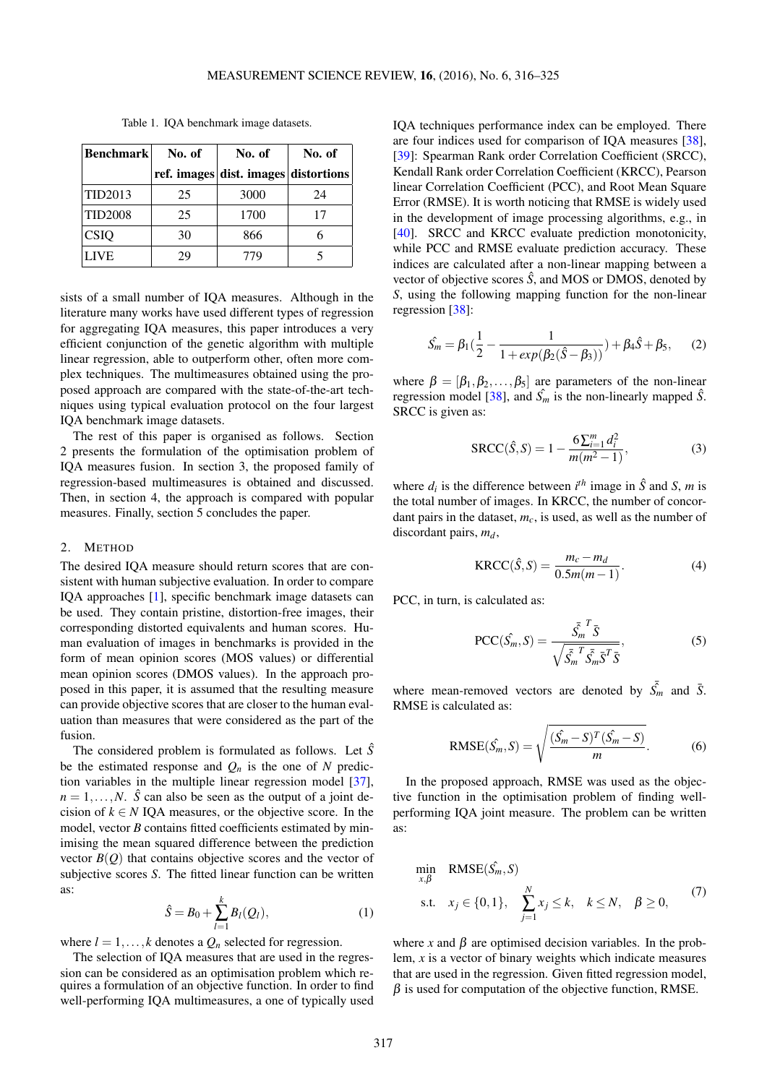<span id="page-1-1"></span>

| <b>Benchmark</b> | No. of | No. of                               | No. of |  |
|------------------|--------|--------------------------------------|--------|--|
|                  |        | ref. images dist. images distortions |        |  |
| TID2013          | 25     | 3000                                 | 24     |  |
| <b>TID2008</b>   | 25     | 1700                                 | 17     |  |
| <b>CSIQ</b>      | 30     | 866                                  |        |  |
| <b>LIVE</b>      | 29     | 779                                  |        |  |

Table 1. IQA benchmark image datasets.

sists of a small number of IQA measures. Although in the literature many works have used different types of regression for aggregating IQA measures, this paper introduces a very efficient conjunction of the genetic algorithm with multiple linear regression, able to outperform other, often more complex techniques. The multimeasures obtained using the proposed approach are compared with the state-of-the-art techniques using typical evaluation protocol on the four largest IQA benchmark image datasets.

The rest of this paper is organised as follows. Section [2](#page-1-0) presents the formulation of the optimisation problem of IQA measures fusion. In section [3,](#page-2-0) the proposed family of regression-based multimeasures is obtained and discussed. Then, in section [4,](#page-6-0) the approach is compared with popular measures. Finally, section [5](#page-7-10) concludes the paper.

#### <span id="page-1-0"></span>2. METHOD

The desired IQA measure should return scores that are consistent with human subjective evaluation. In order to compare IQA approaches [\[1\]](#page-7-0), specific benchmark image datasets can be used. They contain pristine, distortion-free images, their corresponding distorted equivalents and human scores. Human evaluation of images in benchmarks is provided in the form of mean opinion scores (MOS values) or differential mean opinion scores (DMOS values). In the approach proposed in this paper, it is assumed that the resulting measure can provide objective scores that are closer to the human evaluation than measures that were considered as the part of the fusion.

The considered problem is formulated as follows. Let  $\hat{S}$ be the estimated response and  $Q_n$  is the one of  $N$  prediction variables in the multiple linear regression model [\[37\]](#page-9-10),  $n = 1, \ldots, N$ .  $\hat{S}$  can also be seen as the output of a joint decision of  $k \in N$  IQA measures, or the objective score. In the model, vector *B* contains fitted coefficients estimated by minimising the mean squared difference between the prediction vector  $B(Q)$  that contains objective scores and the vector of subjective scores *S*. The fitted linear function can be written as:

$$
\hat{S} = B_0 + \sum_{l=1}^{k} B_l(Q_l),
$$
 (1)

where  $l = 1, \ldots, k$  denotes a  $Q_n$  selected for regression.

The selection of IQA measures that are used in the regression can be considered as an optimisation problem which requires a formulation of an objective function. In order to find well-performing IQA multimeasures, a one of typically used

IQA techniques performance index can be employed. There are four indices used for comparison of IQA measures [\[38\]](#page-9-11), [\[39\]](#page-9-12): Spearman Rank order Correlation Coefficient (SRCC), Kendall Rank order Correlation Coefficient (KRCC), Pearson linear Correlation Coefficient (PCC), and Root Mean Square Error (RMSE). It is worth noticing that RMSE is widely used in the development of image processing algorithms, e.g., in [\[40\]](#page-9-13). SRCC and KRCC evaluate prediction monotonicity, while PCC and RMSE evaluate prediction accuracy. These indices are calculated after a non-linear mapping between a vector of objective scores  $\hat{S}$ , and MOS or DMOS, denoted by *S*, using the following mapping function for the non-linear regression [\[38\]](#page-9-11):

$$
\hat{S}_m = \beta_1 \left( \frac{1}{2} - \frac{1}{1 + exp(\beta_2(\hat{S} - \beta_3))} \right) + \beta_4 \hat{S} + \beta_5, \quad (2)
$$

where  $\beta = [\beta_1, \beta_2, \dots, \beta_5]$  are parameters of the non-linear regression model [\[38\]](#page-9-11), and  $\hat{S}_m$  is the non-linearly mapped  $\hat{S}$ . SRCC is given as:

$$
SACC(\hat{S}, S) = 1 - \frac{6\sum_{i=1}^{m} d_i^2}{m(m^2 - 1)},
$$
\n(3)

where  $d_i$  is the difference between  $i^{th}$  image in  $\hat{S}$  and  $S$ , *m* is the total number of images. In KRCC, the number of concordant pairs in the dataset, *mc*, is used, as well as the number of discordant pairs, *md*,

$$
KRCC(\hat{S}, S) = \frac{m_c - m_d}{0.5m(m - 1)}.
$$
 (4)

PCC, in turn, is calculated as:

$$
\text{PCC}(\hat{S_m}, S) = \frac{\bar{S_m}^T \bar{S}}{\sqrt{\bar{S_m}^T \bar{S_m} \bar{S}^T \bar{S}}},
$$
(5)

where mean-removed vectors are denoted by  $\bar{S}_m$  and  $\bar{S}$ . RMSE is calculated as:

RMSE
$$
(\hat{S_m}, S)
$$
 =  $\sqrt{\frac{(\hat{S_m} - S)^T (\hat{S_m} - S)}{m}}$ . (6)

In the proposed approach, RMSE was used as the objective function in the optimisation problem of finding wellperforming IQA joint measure. The problem can be written as:

<span id="page-1-2"></span>
$$
\min_{x,\beta} \quad \text{RMSE}(\hat{S}_m, S)
$$
\n
$$
\text{s.t.} \quad x_j \in \{0, 1\}, \quad \sum_{j=1}^N x_j \le k, \quad k \le N, \quad \beta \ge 0,
$$
\n
$$
(7)
$$

where *x* and  $\beta$  are optimised decision variables. In the problem, *x* is a vector of binary weights which indicate measures that are used in the regression. Given fitted regression model,  $\beta$  is used for computation of the objective function, RMSE.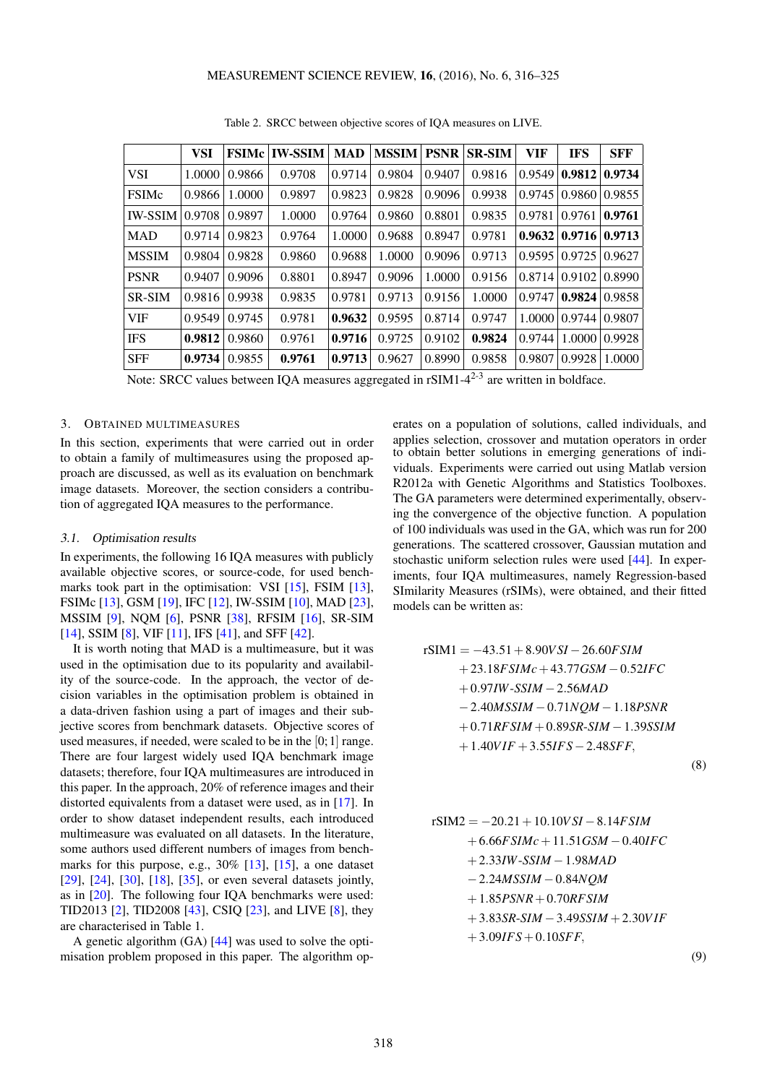<span id="page-2-1"></span>

|                | VSI    |               | <b>FSIMc IW-SSIM</b> | <b>MAD</b> | <b>MSSIM</b> | <b>PSNR</b> | <b>SR-SIM</b> | VIF           | <b>IFS</b>                       | <b>SFF</b> |
|----------------|--------|---------------|----------------------|------------|--------------|-------------|---------------|---------------|----------------------------------|------------|
| <b>VSI</b>     | 1.0000 | 0.9866        | 0.9708               | 0.9714     | 0.9804       | 0.9407      | 0.9816        | 0.9549        | 0.9812                           | 0.9734     |
| <b>FSIMc</b>   | 0.9866 | 1.0000        | 0.9897               | 0.9823     | 0.9828       | 0.9096      | 0.9938        | 0.9745        | 0.9860                           | 0.9855     |
| <b>IW-SSIM</b> | 0.9708 | 0.9897        | 1.0000               | 0.9764     | 0.9860       | 0.8801      | 0.9835        | 0.9781        | 0.9761                           | 0.9761     |
| MAD            | 0.9714 | 0.9823        | 0.9764               | 1.0000     | 0.9688       | 0.8947      | 0.9781        |               | $0.9632 \mid 0.9716 \mid 0.9713$ |            |
| <b>MSSIM</b>   | 0.9804 | 0.9828        | 0.9860               | 0.9688     | 1.0000       | 0.9096      | 0.9713        | 0.959510.9725 |                                  | 0.9627     |
| <b>PSNR</b>    | 0.9407 | 0.9096        | 0.8801               | 0.8947     | 0.9096       | 1.0000      | 0.9156        | 0.8714        | 0.9102                           | 0.8990     |
| SR-SIM         |        | 0.9816 0.9938 | 0.9835               | 0.9781     | 0.9713       | 0.9156      | 1.0000        | 0.9747        | 0.9824                           | 0.9858     |
| <b>VIF</b>     | 0.9549 | 0.9745        | 0.9781               | 0.9632     | 0.9595       | 0.8714      | 0.9747        |               | 1.0000 0.9744                    | 0.9807     |
| <b>IFS</b>     | 0.9812 | 0.9860        | 0.9761               | 0.9716     | 0.9725       | 0.9102      | 0.9824        | 0.9744        | 1.0000                           | 0.9928     |
| <b>SFF</b>     | 0.9734 | 0.9855        | 0.9761               | 0.9713     | 0.9627       | 0.8990      | 0.9858        | 0.9807        | 0.9928                           | 1.0000     |

Table 2. SRCC between objective scores of IQA measures on LIVE.

Note: SRCC values between IQA measures aggregated in  $rSIM1-4^{2-3}$  are written in boldface.

#### <span id="page-2-0"></span>3. OBTAINED MULTIMEASURES

In this section, experiments that were carried out in order to obtain a family of multimeasures using the proposed approach are discussed, as well as its evaluation on benchmark image datasets. Moreover, the section considers a contribution of aggregated IQA measures to the performance.

#### 3.1. Optimisation results

In experiments, the following 16 IQA measures with publicly available objective scores, or source-code, for used bench-marks took part in the optimisation: VSI [\[15\]](#page-8-4), FSIM [\[13\]](#page-8-2), FSIMc [\[13\]](#page-8-2), GSM [\[19\]](#page-8-8), IFC [\[12\]](#page-8-1), IW-SSIM [\[10\]](#page-7-9), MAD [\[23\]](#page-8-12), MSSIM [\[9\]](#page-7-8), NQM [\[6\]](#page-7-5), PSNR [\[38\]](#page-9-11), RFSIM [\[16\]](#page-8-5), SR-SIM [\[14\]](#page-8-3), SSIM [\[8\]](#page-7-7), VIF [\[11\]](#page-8-0), IFS [\[41\]](#page-9-14), and SFF [\[42\]](#page-9-15).

It is worth noting that MAD is a multimeasure, but it was used in the optimisation due to its popularity and availability of the source-code. In the approach, the vector of decision variables in the optimisation problem is obtained in a data-driven fashion using a part of images and their subjective scores from benchmark datasets. Objective scores of used measures, if needed, were scaled to be in the [0; 1] range. There are four largest widely used IQA benchmark image datasets; therefore, four IQA multimeasures are introduced in this paper. In the approach, 20% of reference images and their distorted equivalents from a dataset were used, as in [\[17\]](#page-8-6). In order to show dataset independent results, each introduced multimeasure was evaluated on all datasets. In the literature, some authors used different numbers of images from benchmarks for this purpose, e.g., 30% [\[13\]](#page-8-2), [\[15\]](#page-8-4), a one dataset [\[29\]](#page-9-2), [\[24\]](#page-8-13), [\[30\]](#page-9-3), [\[18\]](#page-8-7), [\[35\]](#page-9-8), or even several datasets jointly, as in [\[20\]](#page-8-9). The following four IQA benchmarks were used: TID2013 [\[2\]](#page-7-1), TID2008 [\[43\]](#page-9-16), CSIQ [\[23\]](#page-8-12), and LIVE [\[8\]](#page-7-7), they are characterised in Table [1.](#page-1-1)

A genetic algorithm (GA) [\[44\]](#page-9-17) was used to solve the optimisation problem proposed in this paper. The algorithm op-

erates on a population of solutions, called individuals, and applies selection, crossover and mutation operators in order to obtain better solutions in emerging generations of individuals. Experiments were carried out using Matlab version R2012a with Genetic Algorithms and Statistics Toolboxes. The GA parameters were determined experimentally, observing the convergence of the objective function. A population of 100 individuals was used in the GA, which was run for 200 generations. The scattered crossover, Gaussian mutation and stochastic uniform selection rules were used [\[44\]](#page-9-17). In experiments, four IQA multimeasures, namely Regression-based SImilarity Measures (rSIMs), were obtained, and their fitted models can be written as:

$$
rSIM1 = -43.51 + 8.90VSI - 26.60FSIM + 23.18FSIMc + 43.77GSM - 0.52IFC + 0.97IW-SSIM - 2.56MAD - 2.40MSSIM - 0.71NQM - 1.18PSNR + 0.71RFSIM + 0.89SR-SIM - 1.39SSIM + 1.40VIF + 3.55IFS - 2.48SFF,
$$

(8)

$$
rSIM2 = -20.21 + 10.10VSI - 8.14FSIM + 6.66FSIMc + 11.51GSM - 0.40IFC + 2.33IW-SSIM - 1.98MAD - 2.24MSSIM - 0.84NQM + 1.85PSNR + 0.70RFSIM + 3.83SR-SIM - 3.49SSIM + 2.30VIF + 3.09IFS + 0.10SFF,
$$

(9)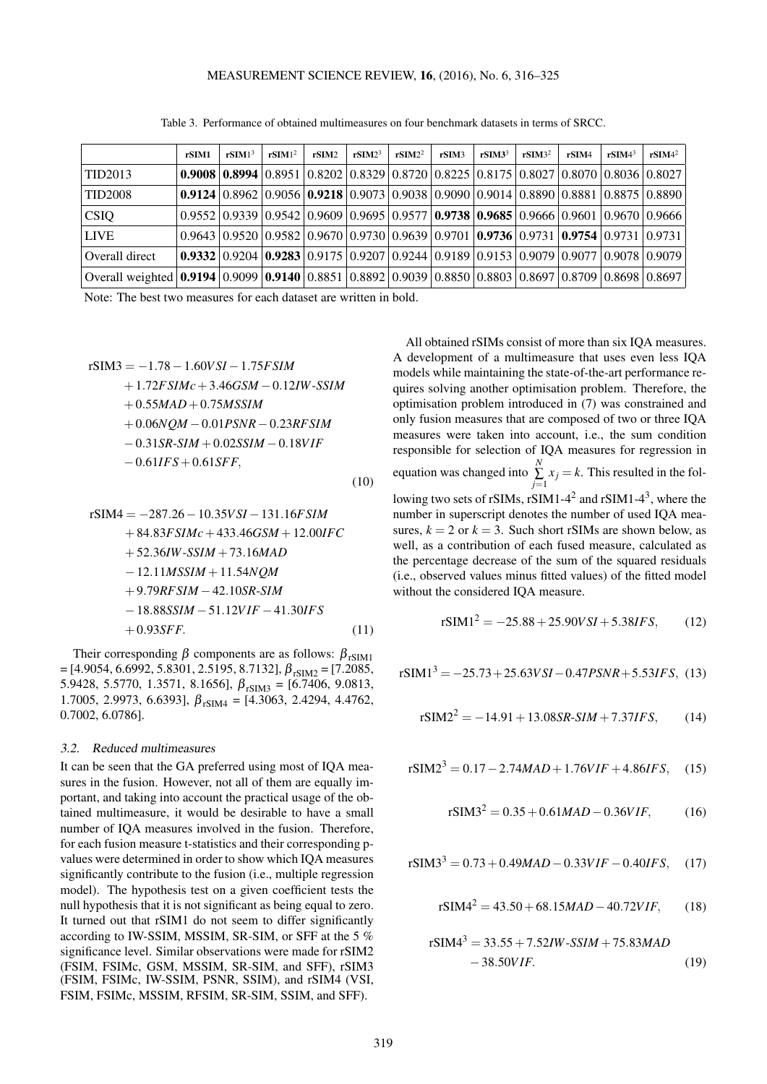Table 3. Performance of obtained multimeasures on four benchmark datasets in terms of SRCC.

<span id="page-3-0"></span>

|                                                                                                                                                                                          | rSIM1 | rSIM1 <sup>3</sup> | rSIM1 <sup>2</sup> | rSIM2 | rSIM2 <sup>3</sup> | rSIM2 <sup>2</sup> | rSIM3 | $rSIM3^3$ | rSIM3 <sup>2</sup> | rSIM4 | r <sup>5</sup> IM4 <sup>3</sup>                                                                                                                                                 | $rSIM4^2$ |
|------------------------------------------------------------------------------------------------------------------------------------------------------------------------------------------|-------|--------------------|--------------------|-------|--------------------|--------------------|-------|-----------|--------------------|-------|---------------------------------------------------------------------------------------------------------------------------------------------------------------------------------|-----------|
| TID2013                                                                                                                                                                                  |       |                    |                    |       |                    |                    |       |           |                    |       | <b>0.9008</b> $\vert 0.8994 \vert 0.8951 \vert 0.8202 \vert 0.8329 \vert 0.8720 \vert 0.8225 \vert 0.8175 \vert 0.8027 \vert 0.8070 \vert 0.8036 \vert 0.8027$                  |           |
| <b>TID2008</b>                                                                                                                                                                           |       |                    |                    |       |                    |                    |       |           |                    |       | $\left  0.9124 \right  0.8962 \left  0.9056 \right  0.9218 \left  0.9073 \right  0.9038 \left  0.9090 \right  0.9014 \left  0.8890 \right  0.8881 \left  0.8875 \right  0.8890$ |           |
| <b>CSIQ</b>                                                                                                                                                                              |       |                    |                    |       |                    |                    |       |           |                    |       | $0.9552   0.9339   0.9542   0.9609   0.9695   0.9577   0.9738   0.9685   0.9666   0.9601   0.9670   0.9666$                                                                     |           |
| <b>LIVE</b>                                                                                                                                                                              |       |                    |                    |       |                    |                    |       |           |                    |       | $(0.9643 \, \, 0.9520 \, \, 0.9582 \, \, 0.9670 \, \, 0.9730 \, \, 0.9639 \, \, 0.9701 \, \, {\bf 0.9736} \, \, 0.9731 \, \, {\bf 0.9754} \, \, 0.9731 \, \, 0.9731$            |           |
| Overall direct                                                                                                                                                                           |       |                    |                    |       |                    |                    |       |           |                    |       | $\vert 0.9332 \vert 0.9204 \vert 0.9283 \vert 0.9175 \vert 0.9207 \vert 0.9244 \vert 0.9189 \vert 0.9153 \vert 0.9079 \vert 0.9077 \vert 0.9078 \vert 0.9079$                   |           |
| Overall weighted $\mid$ 0.9194 $\mid$ 0.9099 $\mid$ 0.9140 $\mid$ 0.8851 $\mid$ 0.8892 $\mid$ 0.9039 $\mid$ 0.8850 $\mid$ 0.8803 $\mid$ 0.8697 $\mid$ 0.8709 $\mid$ 0.8698 $\mid$ 0.8697 |       |                    |                    |       |                    |                    |       |           |                    |       |                                                                                                                                                                                 |           |

Note: The best two measures for each dataset are written in bold.

$$
rSIM3 = -1.78 - 1.60VSI - 1.75FSIM + 1.72FSIMc + 3.46GSM - 0.12IW-SSIM + 0.55MAD + 0.75MSSIM + 0.06NQM - 0.01PSNR - 0.23RFSIM - 0.31SR-SIM + 0.02SSIM - 0.18VIF - 0.61IFS + 0.61SFF,
$$
\n(10)

$$
rSIM4 = -287.26 - 10.35VSI - 131.16FSIM + 84.83FSIMc + 433.46GSM + 12.00IFC + 52.36IW-SSIM + 73.16MAD - 12.11MSSIM + 11.54NQM + 9.79RFSIM - 42.10SR-SIM - 18.88SSIM - 51.12VIF - 41.30IFS + 0.93SFF.
$$
 (11)

Their corresponding  $\beta$  components are as follows:  $\beta_{rSIM1}$  $=$  [4.9054, 6.6992, 5.8301, 2.5195, 8.7132],  $\beta_{\text{rSIM2}} =$  [7.2085, 5.9428, 5.5770, 1.3571, 8.1656],  $\beta_{rSIM3} = [6.7406, 9.0813,$ 1.7005, 2.9973, 6.6393],  $\beta_{rSIM4} = [4.3063, 2.4294, 4.4762,$ 0.7002, 6.0786].

## 3.2. Reduced multimeasures

It can be seen that the GA preferred using most of IQA measures in the fusion. However, not all of them are equally important, and taking into account the practical usage of the obtained multimeasure, it would be desirable to have a small number of IQA measures involved in the fusion. Therefore, for each fusion measure t-statistics and their corresponding pvalues were determined in order to show which IQA measures significantly contribute to the fusion (i.e., multiple regression model). The hypothesis test on a given coefficient tests the null hypothesis that it is not significant as being equal to zero. It turned out that rSIM1 do not seem to differ significantly according to IW-SSIM, MSSIM, SR-SIM, or SFF at the 5 % significance level. Similar observations were made for rSIM2 (FSIM, FSIMc, GSM, MSSIM, SR-SIM, and SFF), rSIM3 (FSIM, FSIMc, IW-SSIM, PSNR, SSIM), and rSIM4 (VSI, FSIM, FSIMc, MSSIM, RFSIM, SR-SIM, SSIM, and SFF).

All obtained rSIMs consist of more than six IQA measures. A development of a multimeasure that uses even less IQA models while maintaining the state-of-the-art performance requires solving another optimisation problem. Therefore, the optimisation problem introduced in [\(7\)](#page-1-2) was constrained and only fusion measures that are composed of two or three IQA measures were taken into account, i.e., the sum condition responsible for selection of IQA measures for regression in equation was changed into *N*  $\sum_{j=1}$   $x_j = k$ . This resulted in the following two sets of rSIMs, rSIM1-4<sup>2</sup> and rSIM1-4<sup>3</sup>, where the number in superscript denotes the number of used IQA measures,  $k = 2$  or  $k = 3$ . Such short rSIMs are shown below, as well, as a contribution of each fused measure, calculated as the percentage decrease of the sum of the squared residuals (i.e., observed values minus fitted values) of the fitted model without the considered IQA measure.

$$
rSIM12 = -25.88 + 25.90VSI + 5.38IFS, \qquad (12)
$$

$$
rSIM13 = -25.73 + 25.63VSI - 0.47PSNR + 5.53IFS, (13)
$$

$$
rSIM22 = -14.91 + 13.08SR-SIM + 7.37IFS, \qquad (14)
$$

$$
rSIM23 = 0.17 - 2.74MAD + 1.76VIF + 4.86IFS, (15)
$$

$$
rSIM32 = 0.35 + 0.61MAD - 0.36VIF,
$$
 (16)

$$
rSIM33 = 0.73 + 0.49MAD - 0.33VIF - 0.40IFS, (17)
$$

$$
rSIM42 = 43.50 + 68.15 MAD - 40.72VIF,
$$
 (18)

$$
rSIM43 = 33.55 + 7.52IW-SSIM + 75.83MAD-38.50VIF.
$$
 (19)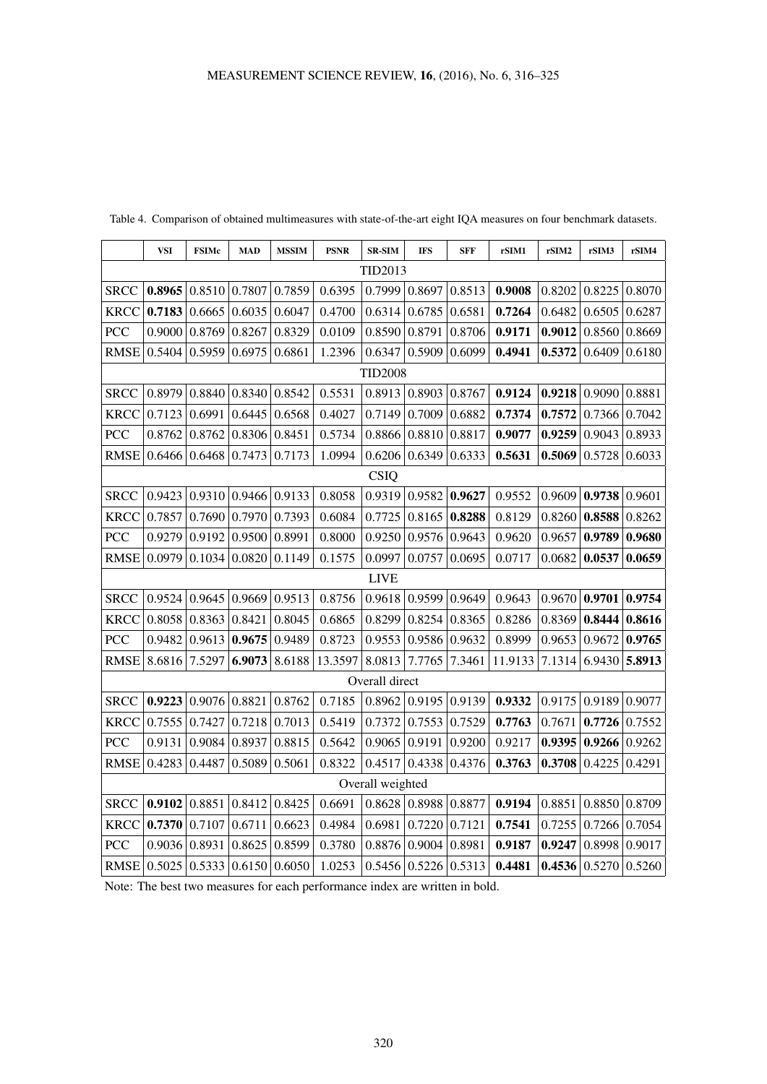|             | <b>VSI</b>  | <b>FSIMc</b> | <b>MAD</b> | <b>MSSIM</b> | <b>PSNR</b> | <b>SR-SIM</b>    | <b>IFS</b> | <b>SFF</b> | rSIM1   | rSIM2  | rSIM3           | rSIM4  |
|-------------|-------------|--------------|------------|--------------|-------------|------------------|------------|------------|---------|--------|-----------------|--------|
| TID2013     |             |              |            |              |             |                  |            |            |         |        |                 |        |
| <b>SRCC</b> | 0.8965      | 0.8510       | 0.7807     | 0.7859       | 0.6395      | 0.7999           | 0.8697     | 0.8513     | 0.9008  | 0.8202 | 0.8225          | 0.8070 |
| <b>KRCC</b> | 0.7183      | 0.6665       | 0.6035     | 0.6047       | 0.4700      | 0.6314           | 0.6785     | 0.6581     | 0.7264  | 0.6482 | 0.6505          | 0.6287 |
| PCC         | 0.9000      | 0.8769       | 0.8267     | 0.8329       | 0.0109      | 0.8590           | 0.8791     | 0.8706     | 0.9171  | 0.9012 | 0.8560          | 0.8669 |
| <b>RMSE</b> | 0.5404      | 0.5959       | 0.6975     | 0.6861       | 1.2396      | 0.6347           | 0.5909     | 0.6099     | 0.4941  | 0.5372 | 0.6409          | 0.6180 |
|             |             |              |            |              |             | <b>TID2008</b>   |            |            |         |        |                 |        |
| <b>SRCC</b> | 0.8979      | 0.8840       | 0.8340     | 0.8542       | 0.5531      | 0.8913           | 0.8903     | 0.8767     | 0.9124  | 0.9218 | 0.9090          | 0.8881 |
| <b>KRCC</b> | 0.7123      | 0.6991       | 0.6445     | 0.6568       | 0.4027      | 0.7149           | 0.7009     | 0.6882     | 0.7374  | 0.7572 | 0.7366          | 0.7042 |
| PCC         | 0.8762      | 0.8762       | 0.8306     | 0.8451       | 0.5734      | 0.8866           | 0.8810     | 0.8817     | 0.9077  | 0.9259 | 0.9043          | 0.8933 |
| <b>RMSE</b> | 0.6466      | 0.6468       | 0.7473     | 0.7173       | 1.0994      | 0.6206           | 0.6349     | 0.6333     | 0.5631  | 0.5069 | 0.5728          | 0.6033 |
|             | <b>CSIQ</b> |              |            |              |             |                  |            |            |         |        |                 |        |
| <b>SRCC</b> | 0.9423      | 0.9310       | 0.9466     | 0.9133       | 0.8058      | 0.9319           | 0.9582     | 0.9627     | 0.9552  | 0.9609 | 0.9738          | 0.9601 |
| <b>KRCC</b> | 0.7857      | 0.7690       | 0.7970     | 0.7393       | 0.6084      | 0.7725           | 0.8165     | 0.8288     | 0.8129  | 0.8260 | 0.8588          | 0.8262 |
| PCC         | 0.9279      | 0.9192       | 0.9500     | 0.8991       | 0.8000      | 0.9250           | 0.9576     | 0.9643     | 0.9620  | 0.9657 | 0.9789          | 0.9680 |
| <b>RMSE</b> | 0.0979      | 0.1034       | 0.0820     | 0.1149       | 0.1575      | 0.0997           | 0.0757     | 0.0695     | 0.0717  | 0.0682 | 0.0537          | 0.0659 |
|             |             |              |            |              |             | <b>LIVE</b>      |            |            |         |        |                 |        |
| <b>SRCC</b> | 0.9524      | 0.9645       | 0.9669     | 0.9513       | 0.8756      | 0.9618           | 0.9599     | 0.9649     | 0.9643  | 0.9670 | 0.9701          | 0.9754 |
| <b>KRCC</b> | 0.8058      | 0.8363       | 0.8421     | 0.8045       | 0.6865      | 0.8299           | 0.8254     | 0.8365     | 0.8286  | 0.8369 | 0.8444          | 0.8616 |
| PCC         | 0.9482      | 0.9613       | 0.9675     | 0.9489       | 0.8723      | 0.9553           | 0.9586     | 0.9632     | 0.8999  | 0.9653 | 0.9672          | 0.9765 |
| <b>RMSE</b> | 8.6816      | 7.5297       | 6.9073     | 8.6188       | 13.3597     | 8.0813           | 7.7765     | 7.3461     | 11.9133 | 7.1314 | 6.9430          | 5.8913 |
|             |             |              |            |              |             | Overall direct   |            |            |         |        |                 |        |
| <b>SRCC</b> | 0.9223      | 0.9076       | 0.8821     | 0.8762       | 0.7185      | 0.8962           | 0.9195     | 0.9139     | 0.9332  | 0.9175 | 0.9189          | 0.9077 |
| <b>KRCC</b> | 0.7555      | 0.7427       | 0.7218     | 0.7013       | 0.5419      | 0.7372           | 0.7553     | 0.7529     | 0.7763  | 0.7671 | 0.7726          | 0.7552 |
| PCC         | 0.9131      | 0.9084       | 0.8937     | 0.8815       | 0.5642      | 0.9065           | 0.9191     | 0.9200     | 0.9217  | 0.9395 | 0.9266          | 0.9262 |
| <b>RMSE</b> | 0.4283      | 0.4487       | 0.5089     | 0.5061       | 0.8322      | 0.4517           | 0.4338     | 0.4376     | 0.3763  | 0.3708 | 0.4225          | 0.4291 |
|             |             |              |            |              |             | Overall weighted |            |            |         |        |                 |        |
| <b>SRCC</b> | 0.9102      | 0.8851       | 0.8412     | 0.8425       | 0.6691      | 0.8628           | 0.8988     | 0.8877     | 0.9194  | 0.8851 | 0.8850          | 0.8709 |
| <b>KRCC</b> | 0.7370      | 0.7107       | 0.6711     | 0.6623       | 0.4984      | 0.6981           | 0.7220     | 0.7121     | 0.7541  | 0.7255 | 0.7266          | 0.7054 |
| PCC         | 0.9036      | 0.8931       | 0.8625     | 0.8599       | 0.3780      | 0.8876           | 0.9004     | 0.8981     | 0.9187  | 0.9247 | 0.8998          | 0.9017 |
| <b>RMSE</b> | 0.5025      | 0.5333       | 0.6150     | 0.6050       | 1.0253      | 0.5456           | 0.5226     | 0.5313     | 0.4481  |        | 0.4536   0.5270 | 0.5260 |

<span id="page-4-0"></span>Table 4. Comparison of obtained multimeasures with state-of-the-art eight IQA measures on four benchmark datasets.

Note: The best two measures for each performance index are written in bold.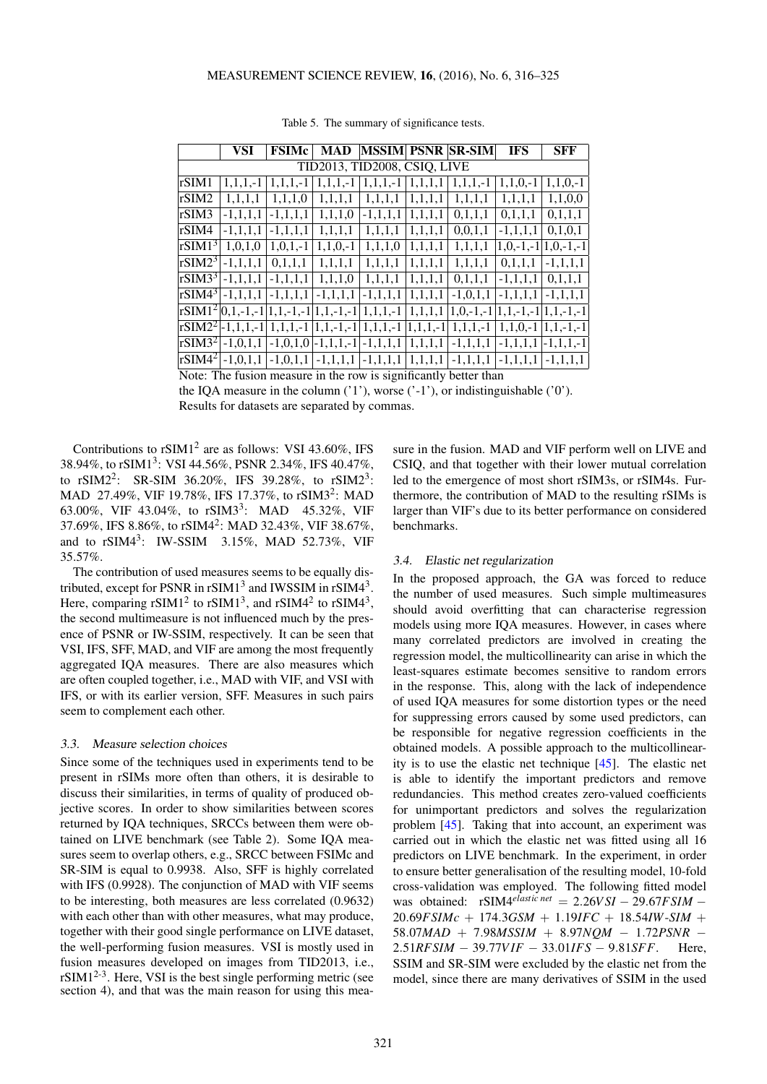<span id="page-5-0"></span>

|                              | VSI                                                              | <b>FSIMc</b>  | <b>MAD</b>                                                                                                                                                                                                                                                                                                          |            |         | <b>MSSIM PSNR SR-SIM</b>                         | <b>IFS</b>                      | <b>SFF</b>    |  |  |
|------------------------------|------------------------------------------------------------------|---------------|---------------------------------------------------------------------------------------------------------------------------------------------------------------------------------------------------------------------------------------------------------------------------------------------------------------------|------------|---------|--------------------------------------------------|---------------------------------|---------------|--|--|
| TID2013, TID2008, CSIQ, LIVE |                                                                  |               |                                                                                                                                                                                                                                                                                                                     |            |         |                                                  |                                 |               |  |  |
| rSIM1                        | $1.1.1.-1$                                                       | $1, 1, 1, -1$ | $1, 1, 1, -1$                                                                                                                                                                                                                                                                                                       | $1,1,1,-1$ | 1,1,1,1 | $1, 1, 1, -1$                                    | $1,1,0,-1$                      | $1,1,0,-1$    |  |  |
| rSIM2                        | 1,1,1,1                                                          | 1,1,1,0       | 1,1,1,1                                                                                                                                                                                                                                                                                                             | 1,1,1,1    | 1,1,1,1 | 1,1,1,1                                          | 1,1,1,1                         | 1,1,0,0       |  |  |
| rSIM3                        | $-1,1,1,1$                                                       | $-1,1,1,1$    | 1,1,1,0                                                                                                                                                                                                                                                                                                             | $-1,1,1,1$ | 1,1,1,1 | 0,1,1,1                                          | 0,1,1,1                         | 0,1,1,1       |  |  |
| rSIM4                        | $-1,1,1,1$                                                       | $-1,1,1,1$    | 1,1,1,1                                                                                                                                                                                                                                                                                                             | 1,1,1,1    | 1,1,1,1 | 0,0,1,1                                          | $-1,1,1,1$                      | 0,1,0,1       |  |  |
| rSIM1 <sup>3</sup>           | 1,0,1,0                                                          | $1, 0, 1, -1$ | $1, 1, 0, -1$                                                                                                                                                                                                                                                                                                       | 1,1,1,0    | 1,1,1,1 | 1,1,1,1                                          | $1, 0, -1, -1$   $1, 0, -1, -1$ |               |  |  |
| $\Gamma$ SIM2 <sup>3</sup>   | $-1,1,1,1$                                                       | 0,1,1,1       | 1,1,1,1                                                                                                                                                                                                                                                                                                             | 1,1,1,1    | 1,1,1,1 | 1,1,1,1                                          | 0,1,1,1                         | $-1,1,1,1$    |  |  |
| $ rSIM3^3 $                  | $-1,1,1,1$                                                       | $-1, 1, 1, 1$ | 1,1,1,0                                                                                                                                                                                                                                                                                                             | 1,1,1,1    | 1,1,1,1 | 0,1,1,1                                          | $-1,1,1,1$                      | 0,1,1,1       |  |  |
|                              | $ rSIM4^3  -1, 1, 1, 1$                                          | $-1.1.1.1$    | $-1,1,1,1$                                                                                                                                                                                                                                                                                                          | $-1,1,1,1$ | 1,1,1,1 | $-1, 0, 1, 1$                                    | $-1.1.1.1$                      | $-1.1.1.1$    |  |  |
|                              |                                                                  |               | $\frac{1}{2}$ $\frac{1}{2}$ $\frac{1}{2}$ $\frac{1}{2}$ $\frac{1}{2}$ $\frac{1}{2}$ $\frac{1}{2}$ $\frac{1}{2}$ $\frac{1}{2}$ $\frac{1}{2}$ $\frac{1}{2}$ $\frac{1}{2}$ $\frac{1}{2}$ $\frac{1}{2}$ $\frac{1}{2}$ $\frac{1}{2}$ $\frac{1}{2}$ $\frac{1}{2}$ $\frac{1}{2}$ $\frac{1}{2}$ $\frac{1}{2}$ $\frac{1}{2}$ |            | 1,1,1,1 | $1, 0, -1, -1$   $1, 1, -1, -1$   $1, 1, -1, -1$ |                                 |               |  |  |
|                              | $ rSIM2^2 -1,1,1,-1 $                                            |               | $\left  1,1,1,-1 \right  1,1,-1,-1 \left  1,1,1,-1 \right  1,1,1,-1$                                                                                                                                                                                                                                                |            |         | $1,1,1,-1$                                       | $1,1,0,-1$                      | $1.1 - 1 - 1$ |  |  |
|                              | $rSIM3^2$ -1,0,1,1                                               |               | $-1,0,1,0$ $-1,1,1,-1$ $-1,1,1,1$                                                                                                                                                                                                                                                                                   |            | 1,1,1,1 | $-1,1,1,1$                                       | $-1,1,1,1$                      | $-1.1.1 - 1$  |  |  |
| $\sqrt{r} \sin 4^2$          | $-1, 0, 1, 1$                                                    | $-1, 0, 1, 1$ | $-1,1,1,1$ $-1,1,1,1$                                                                                                                                                                                                                                                                                               |            | 1,1,1,1 | $-1,1,1,1$                                       | $-1,1,1,1$                      | $-1, 1, 1, 1$ |  |  |
|                              | Note: The fusion measure in the row is significantly better than |               |                                                                                                                                                                                                                                                                                                                     |            |         |                                                  |                                 |               |  |  |

Table 5. The summary of significance tests.

the IQA measure in the column ('1'), worse ('-1'), or indistinguishable ('0'). Results for datasets are separated by commas.

Contributions to  $rSIM1<sup>2</sup>$  are as follows: VSI 43.60%, IFS 38.94%, to rSIM1<sup>3</sup> : VSI 44.56%, PSNR 2.34%, IFS 40.47%, to rSIM2<sup>2</sup>: SR-SIM 36.20%, IFS 39.28%, to rSIM2<sup>3</sup>: MAD 27.49%, VIF 19.78%, IFS 17.37%, to rSIM3<sup>2</sup>: MAD 63.00%, VIF 43.04%, to  $rSIM3^3$ : MAD 45.32%, VIF 37.69%, IFS 8.86%, to rSIM4<sup>2</sup> : MAD 32.43%, VIF 38.67%, and to rSIM4<sup>3</sup>: IW-SSIM 3.15%, MAD 52.73%, VIF 35.57%.

The contribution of used measures seems to be equally distributed, except for PSNR in  $rSIM1<sup>3</sup>$  and IWSSIM in  $rSIM4<sup>3</sup>$ . Here, comparing  $rSIM1<sup>2</sup>$  to  $rSIM1<sup>3</sup>$ , and  $rSIM4<sup>2</sup>$  to  $rSIM4<sup>3</sup>$ , the second multimeasure is not influenced much by the presence of PSNR or IW-SSIM, respectively. It can be seen that VSI, IFS, SFF, MAD, and VIF are among the most frequently aggregated IQA measures. There are also measures which are often coupled together, i.e., MAD with VIF, and VSI with IFS, or with its earlier version, SFF. Measures in such pairs seem to complement each other.

### 3.3. Measure selection choices

Since some of the techniques used in experiments tend to be present in rSIMs more often than others, it is desirable to discuss their similarities, in terms of quality of produced objective scores. In order to show similarities between scores returned by IQA techniques, SRCCs between them were obtained on LIVE benchmark (see Table [2\)](#page-2-1). Some IQA measures seem to overlap others, e.g., SRCC between FSIMc and SR-SIM is equal to 0.9938. Also, SFF is highly correlated with IFS (0.9928). The conjunction of MAD with VIF seems to be interesting, both measures are less correlated (0.9632) with each other than with other measures, what may produce, together with their good single performance on LIVE dataset, the well-performing fusion measures. VSI is mostly used in fusion measures developed on images from TID2013, i.e.,  $rSIM1<sup>2-3</sup>$ . Here, VSI is the best single performing metric (see section [4\)](#page-6-0), and that was the main reason for using this measure in the fusion. MAD and VIF perform well on LIVE and CSIQ, and that together with their lower mutual correlation led to the emergence of most short rSIM3s, or rSIM4s. Furthermore, the contribution of MAD to the resulting rSIMs is larger than VIF's due to its better performance on considered benchmarks.

## 3.4. Elastic net regularization

In the proposed approach, the GA was forced to reduce the number of used measures. Such simple multimeasures should avoid overfitting that can characterise regression models using more IQA measures. However, in cases where many correlated predictors are involved in creating the regression model, the multicollinearity can arise in which the least-squares estimate becomes sensitive to random errors in the response. This, along with the lack of independence of used IQA measures for some distortion types or the need for suppressing errors caused by some used predictors, can be responsible for negative regression coefficients in the obtained models. A possible approach to the multicollinearity is to use the elastic net technique [\[45\]](#page-9-18). The elastic net is able to identify the important predictors and remove redundancies. This method creates zero-valued coefficients for unimportant predictors and solves the regularization problem [\[45\]](#page-9-18). Taking that into account, an experiment was carried out in which the elastic net was fitted using all 16 predictors on LIVE benchmark. In the experiment, in order to ensure better generalisation of the resulting model, 10-fold cross-validation was employed. The following fitted model was obtained: rSIM4*elastic net* = 2.26*V SI* − 29.67*FSIM* − 20.69*FSIMc* + 174.3*GSM* + 1.19*IFC* + 18.54*IW*-*SIM* + 58.07*MAD* + 7.98*MSSIM* + 8.97*NQM* − 1.72*PSNR* − 2.51*RFSIM* − 39.77*V IF* − 33.01*IFS* − 9.81*SFF*. Here, SSIM and SR-SIM were excluded by the elastic net from the model, since there are many derivatives of SSIM in the used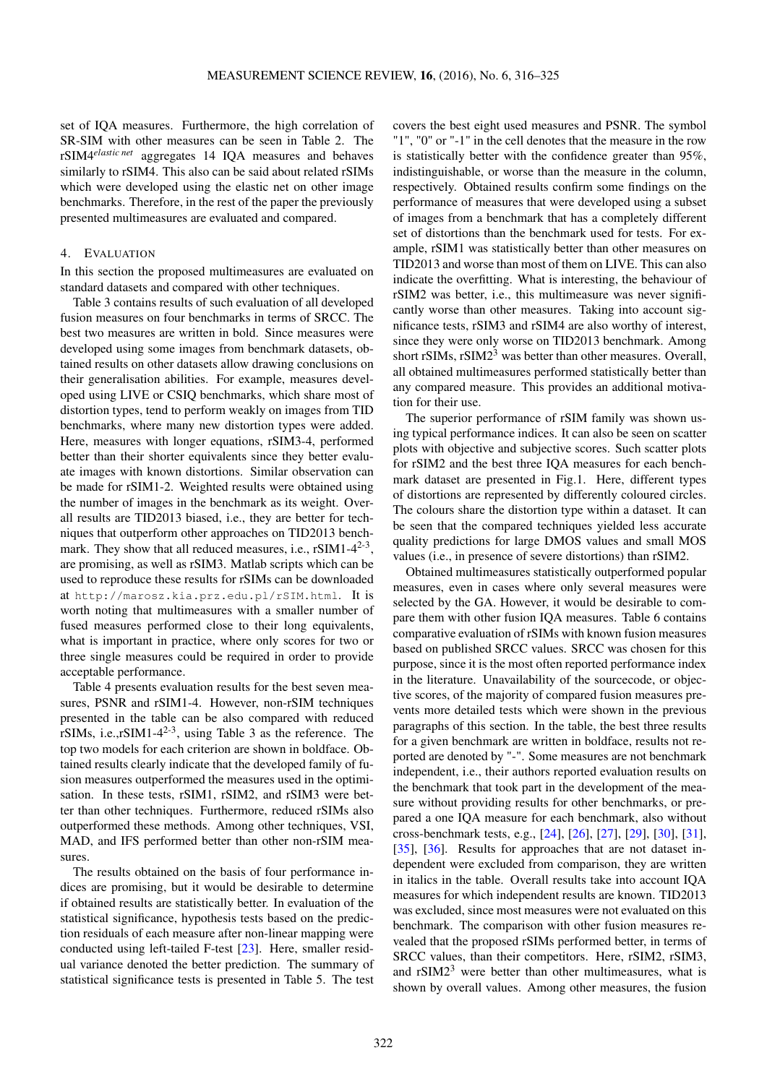set of IQA measures. Furthermore, the high correlation of SR-SIM with other measures can be seen in Table [2.](#page-2-1) The rSIM4*elastic net* aggregates 14 IQA measures and behaves similarly to rSIM4. This also can be said about related rSIMs which were developed using the elastic net on other image benchmarks. Therefore, in the rest of the paper the previously presented multimeasures are evaluated and compared.

## <span id="page-6-0"></span>4. EVALUATION

In this section the proposed multimeasures are evaluated on standard datasets and compared with other techniques.

Table [3](#page-3-0) contains results of such evaluation of all developed fusion measures on four benchmarks in terms of SRCC. The best two measures are written in bold. Since measures were developed using some images from benchmark datasets, obtained results on other datasets allow drawing conclusions on their generalisation abilities. For example, measures developed using LIVE or CSIQ benchmarks, which share most of distortion types, tend to perform weakly on images from TID benchmarks, where many new distortion types were added. Here, measures with longer equations, rSIM3-4, performed better than their shorter equivalents since they better evaluate images with known distortions. Similar observation can be made for rSIM1-2. Weighted results were obtained using the number of images in the benchmark as its weight. Overall results are TID2013 biased, i.e., they are better for techniques that outperform other approaches on TID2013 benchmark. They show that all reduced measures, i.e.,  $rSIM1-4^{2-3}$ , are promising, as well as rSIM3. Matlab scripts which can be used to reproduce these results for rSIMs can be downloaded at <http://marosz.kia.prz.edu.pl/rSIM.html>. It is worth noting that multimeasures with a smaller number of fused measures performed close to their long equivalents, what is important in practice, where only scores for two or three single measures could be required in order to provide acceptable performance.

Table [4](#page-4-0) presents evaluation results for the best seven measures, PSNR and rSIM1-4. However, non-rSIM techniques presented in the table can be also compared with reduced rSIMs, i.e., $r$ SIM1-4<sup>2-[3](#page-3-0)</sup>, using Table 3 as the reference. The top two models for each criterion are shown in boldface. Obtained results clearly indicate that the developed family of fusion measures outperformed the measures used in the optimisation. In these tests, rSIM1, rSIM2, and rSIM3 were better than other techniques. Furthermore, reduced rSIMs also outperformed these methods. Among other techniques, VSI, MAD, and IFS performed better than other non-rSIM measures.

The results obtained on the basis of four performance indices are promising, but it would be desirable to determine if obtained results are statistically better. In evaluation of the statistical significance, hypothesis tests based on the prediction residuals of each measure after non-linear mapping were conducted using left-tailed F-test [\[23\]](#page-8-12). Here, smaller residual variance denoted the better prediction. The summary of statistical significance tests is presented in Table [5.](#page-5-0) The test covers the best eight used measures and PSNR. The symbol "1", "0" or "-1" in the cell denotes that the measure in the row is statistically better with the confidence greater than 95%, indistinguishable, or worse than the measure in the column, respectively. Obtained results confirm some findings on the performance of measures that were developed using a subset of images from a benchmark that has a completely different set of distortions than the benchmark used for tests. For example, rSIM1 was statistically better than other measures on TID2013 and worse than most of them on LIVE. This can also indicate the overfitting. What is interesting, the behaviour of rSIM2 was better, i.e., this multimeasure was never significantly worse than other measures. Taking into account significance tests, rSIM3 and rSIM4 are also worthy of interest, since they were only worse on TID2013 benchmark. Among short rSIMs,  $rSIM2<sup>3</sup>$  was better than other measures. Overall, all obtained multimeasures performed statistically better than any compared measure. This provides an additional motivation for their use.

The superior performance of rSIM family was shown using typical performance indices. It can also be seen on scatter plots with objective and subjective scores. Such scatter plots for rSIM2 and the best three IQA measures for each benchmark dataset are presented in Fig[.1.](#page-8-16) Here, different types of distortions are represented by differently coloured circles. The colours share the distortion type within a dataset. It can be seen that the compared techniques yielded less accurate quality predictions for large DMOS values and small MOS values (i.e., in presence of severe distortions) than rSIM2.

Obtained multimeasures statistically outperformed popular measures, even in cases where only several measures were selected by the GA. However, it would be desirable to compare them with other fusion IQA measures. Table [6](#page-7-11) contains comparative evaluation of rSIMs with known fusion measures based on published SRCC values. SRCC was chosen for this purpose, since it is the most often reported performance index in the literature. Unavailability of the sourcecode, or objective scores, of the majority of compared fusion measures prevents more detailed tests which were shown in the previous paragraphs of this section. In the table, the best three results for a given benchmark are written in boldface, results not reported are denoted by "-". Some measures are not benchmark independent, i.e., their authors reported evaluation results on the benchmark that took part in the development of the measure without providing results for other benchmarks, or prepared a one IQA measure for each benchmark, also without cross-benchmark tests, e.g., [\[24\]](#page-8-13), [\[26\]](#page-8-15), [\[27\]](#page-9-0), [\[29\]](#page-9-2), [\[30\]](#page-9-3), [\[31\]](#page-9-4), [\[35\]](#page-9-8), [\[36\]](#page-9-9). Results for approaches that are not dataset independent were excluded from comparison, they are written in italics in the table. Overall results take into account IQA measures for which independent results are known. TID2013 was excluded, since most measures were not evaluated on this benchmark. The comparison with other fusion measures revealed that the proposed rSIMs performed better, in terms of SRCC values, than their competitors. Here, rSIM2, rSIM3, and  $rSIM2<sup>3</sup>$  were better than other multimeasures, what is shown by overall values. Among other measures, the fusion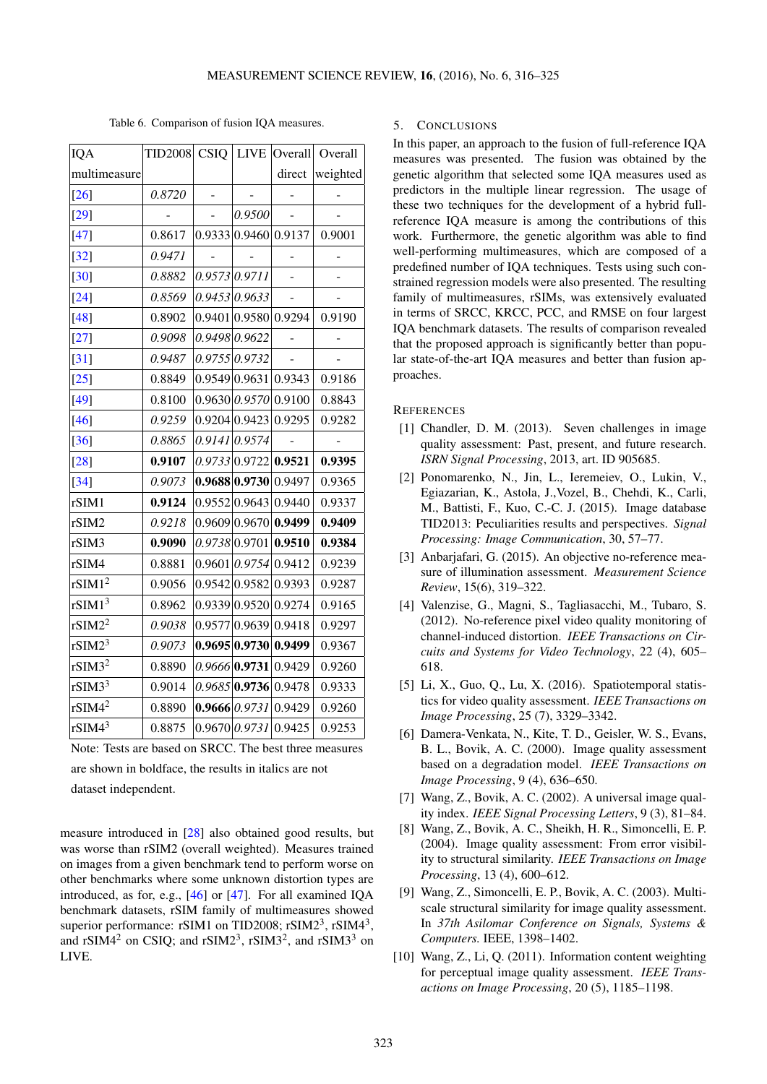|  | Table 6. Comparison of fusion IQA measures. |  |
|--|---------------------------------------------|--|
|  |                                             |  |

<span id="page-7-11"></span>

| IQA                | <b>TID2008 CSIQ</b> | <b>LIVE</b>     | Overall              | Overall  |
|--------------------|---------------------|-----------------|----------------------|----------|
| multimeasure       |                     |                 | direct               | weighted |
| $[26]$             | 0.8720              |                 |                      |          |
| $[29]$             |                     | 0.9500          |                      |          |
| $[47]$             | 0.8617              |                 | 0.9333 0.9460 0.9137 | 0.9001   |
| $[32]$             | 0.9471              |                 |                      |          |
| $[30]$             | 0.8882              | 0.9573 0.9711   |                      |          |
| $[24]$             | 0.8569              | 0.9453 0.9633   |                      |          |
| $[48]$             | 0.8902              |                 | 0.9401 0.9580 0.9294 | 0.9190   |
| $[27]$             | 0.9098              | 0.9498 0.9622   |                      |          |
| $[31]$             | 0.9487              | 0.9755 0.9732   |                      |          |
| $[25]$             | 0.8849              | 0.9549 0.9631   | 0.9343               | 0.9186   |
| $[49]$             | 0.8100              | 0.9630 0.9570   | 0.9100               | 0.8843   |
| $[46]$             | 0.9259              | 0.9204 0.9423   | 0.9295               | 0.9282   |
| $[36]$             | 0.8865              | 0.9141 0.9574   |                      |          |
| $[28]$             | 0.9107              | 0.9733 0.9722   | 0.9521               | 0.9395   |
| $[34]$             | 0.9073              | 0.9688 0.9730   | 0.9497               | 0.9365   |
| rSIM1              | 0.9124              | 0.9552 0.9643   | 0.9440               | 0.9337   |
| rSIM2              | 0.9218              | 0.9609 0.9670   | 0.9499               | 0.9409   |
| rSIM3              | 0.9090              | 0.9738 0.9701   | 0.9510               | 0.9384   |
| rSIM4              | 0.8881              | 0.9601   0.9754 | 0.9412               | 0.9239   |
| rSIM1 <sup>2</sup> | 0.9056              | 0.9542 0.9582   | 0.9393               | 0.9287   |
| rSIM1 <sup>3</sup> | 0.8962              | 0.9339 0.9520   | 0.9274               | 0.9165   |
| rSIM2 <sup>2</sup> | 0.9038              | 0.9577 0.9639   | 0.9418               | 0.9297   |
| rSIM2 <sup>3</sup> | 0.9073              | 0.9695 0.9730   | 0.9499               | 0.9367   |
| rSIM3 <sup>2</sup> | 0.8890              | 0.9666 0.9731   | 0.9429               | 0.9260   |
| rSIM3 <sup>3</sup> | 0.9014              | $0.9685$ 0.9736 | 0.9478               | 0.9333   |
| rSIM4 <sup>2</sup> | 0.8890              |                 | 0.9666 0.9731 0.9429 | 0.9260   |
| rSIM4 <sup>3</sup> | 0.8875              | 0.9670 0.9731   | 0.9425               | 0.9253   |
|                    |                     |                 |                      |          |

Note: Tests are based on SRCC. The best three measures are shown in boldface, the results in italics are not dataset independent.

measure introduced in [\[28\]](#page-9-1) also obtained good results, but was worse than rSIM2 (overall weighted). Measures trained on images from a given benchmark tend to perform worse on other benchmarks where some unknown distortion types are introduced, as for, e.g., [\[46\]](#page-9-22) or [\[47\]](#page-9-19). For all examined IQA benchmark datasets, rSIM family of multimeasures showed superior performance: rSIM1 on TID2008; rSIM2<sup>3</sup>, rSIM4<sup>3</sup>, and rSIM4<sup>2</sup> on CSIQ; and rSIM2<sup>3</sup>, rSIM3<sup>2</sup>, and rSIM3<sup>3</sup> on LIVE.

#### <span id="page-7-10"></span>5. CONCLUSIONS

In this paper, an approach to the fusion of full-reference IQA measures was presented. The fusion was obtained by the genetic algorithm that selected some IQA measures used as predictors in the multiple linear regression. The usage of these two techniques for the development of a hybrid fullreference IQA measure is among the contributions of this work. Furthermore, the genetic algorithm was able to find well-performing multimeasures, which are composed of a predefined number of IQA techniques. Tests using such constrained regression models were also presented. The resulting family of multimeasures, rSIMs, was extensively evaluated in terms of SRCC, KRCC, PCC, and RMSE on four largest IQA benchmark datasets. The results of comparison revealed that the proposed approach is significantly better than popular state-of-the-art IQA measures and better than fusion approaches.

#### **REFERENCES**

- <span id="page-7-0"></span>[1] Chandler, D. M. (2013). Seven challenges in image quality assessment: Past, present, and future research. *ISRN Signal Processing*, 2013, art. ID 905685.
- <span id="page-7-1"></span>[2] Ponomarenko, N., Jin, L., Ieremeiev, O., Lukin, V., Egiazarian, K., Astola, J.,Vozel, B., Chehdi, K., Carli, M., Battisti, F., Kuo, C.-C. J. (2015). Image database TID2013: Peculiarities results and perspectives. *Signal Processing: Image Communication*, 30, 57–77.
- <span id="page-7-2"></span>[3] Anbarjafari, G. (2015). An objective no-reference measure of illumination assessment. *Measurement Science Review*, 15(6), 319–322.
- <span id="page-7-3"></span>[4] Valenzise, G., Magni, S., Tagliasacchi, M., Tubaro, S. (2012). No-reference pixel video quality monitoring of channel-induced distortion. *IEEE Transactions on Circuits and Systems for Video Technology*, 22 (4), 605– 618.
- <span id="page-7-4"></span>[5] Li, X., Guo, Q., Lu, X. (2016). Spatiotemporal statistics for video quality assessment. *IEEE Transactions on Image Processing*, 25 (7), 3329–3342.
- <span id="page-7-5"></span>[6] Damera-Venkata, N., Kite, T. D., Geisler, W. S., Evans, B. L., Bovik, A. C. (2000). Image quality assessment based on a degradation model. *IEEE Transactions on Image Processing*, 9 (4), 636–650.
- <span id="page-7-6"></span>[7] Wang, Z., Bovik, A. C. (2002). A universal image quality index. *IEEE Signal Processing Letters*, 9 (3), 81–84.
- <span id="page-7-7"></span>[8] Wang, Z., Bovik, A. C., Sheikh, H. R., Simoncelli, E. P. (2004). Image quality assessment: From error visibility to structural similarity. *IEEE Transactions on Image Processing*, 13 (4), 600–612.
- <span id="page-7-8"></span>[9] Wang, Z., Simoncelli, E. P., Bovik, A. C. (2003). Multiscale structural similarity for image quality assessment. In *37th Asilomar Conference on Signals, Systems & Computers.* IEEE, 1398–1402.
- <span id="page-7-9"></span>[10] Wang, Z., Li, Q. (2011). Information content weighting for perceptual image quality assessment. *IEEE Transactions on Image Processing*, 20 (5), 1185–1198.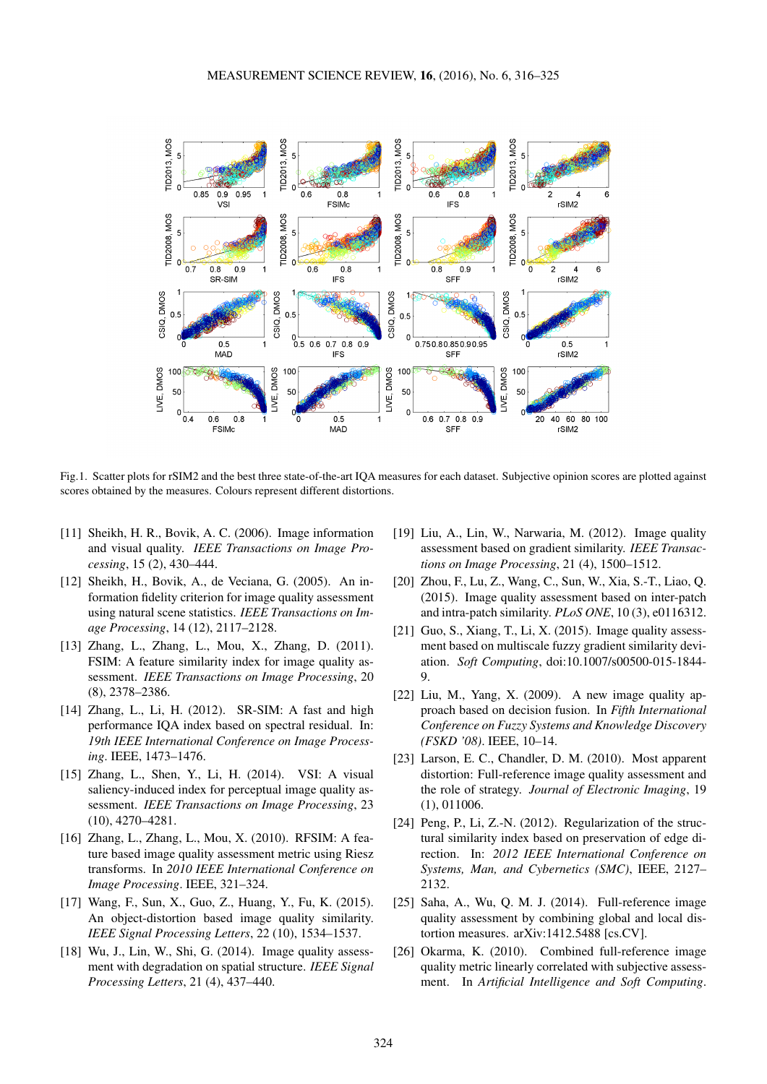<span id="page-8-16"></span>

Fig.1. Scatter plots for rSIM2 and the best three state-of-the-art IQA measures for each dataset. Subjective opinion scores are plotted against scores obtained by the measures. Colours represent different distortions.

- <span id="page-8-0"></span>[11] Sheikh, H. R., Bovik, A. C. (2006). Image information and visual quality. *IEEE Transactions on Image Processing*, 15 (2), 430–444.
- <span id="page-8-1"></span>[12] Sheikh, H., Bovik, A., de Veciana, G. (2005). An information fidelity criterion for image quality assessment using natural scene statistics. *IEEE Transactions on Image Processing*, 14 (12), 2117–2128.
- <span id="page-8-2"></span>[13] Zhang, L., Zhang, L., Mou, X., Zhang, D. (2011). FSIM: A feature similarity index for image quality assessment. *IEEE Transactions on Image Processing*, 20 (8), 2378–2386.
- <span id="page-8-3"></span>[14] Zhang, L., Li, H. (2012). SR-SIM: A fast and high performance IQA index based on spectral residual. In: *19th IEEE International Conference on Image Processing*. IEEE, 1473–1476.
- <span id="page-8-4"></span>[15] Zhang, L., Shen, Y., Li, H. (2014). VSI: A visual saliency-induced index for perceptual image quality assessment. *IEEE Transactions on Image Processing*, 23 (10), 4270–4281.
- <span id="page-8-5"></span>[16] Zhang, L., Zhang, L., Mou, X. (2010). RFSIM: A feature based image quality assessment metric using Riesz transforms. In *2010 IEEE International Conference on Image Processing*. IEEE, 321–324.
- <span id="page-8-6"></span>[17] Wang, F., Sun, X., Guo, Z., Huang, Y., Fu, K. (2015). An object-distortion based image quality similarity. *IEEE Signal Processing Letters*, 22 (10), 1534–1537.
- <span id="page-8-7"></span>[18] Wu, J., Lin, W., Shi, G. (2014). Image quality assessment with degradation on spatial structure. *IEEE Signal Processing Letters*, 21 (4), 437–440.
- <span id="page-8-8"></span>[19] Liu, A., Lin, W., Narwaria, M. (2012). Image quality assessment based on gradient similarity. *IEEE Transactions on Image Processing*, 21 (4), 1500–1512.
- <span id="page-8-9"></span>[20] Zhou, F., Lu, Z., Wang, C., Sun, W., Xia, S.-T., Liao, Q. (2015). Image quality assessment based on inter-patch and intra-patch similarity. *PLoS ONE*, 10 (3), e0116312.
- <span id="page-8-10"></span>[21] Guo, S., Xiang, T., Li, X. (2015). Image quality assessment based on multiscale fuzzy gradient similarity deviation. *Soft Computing*, doi:10.1007/s00500-015-1844-  $\mathbf Q$
- <span id="page-8-11"></span>[22] Liu, M., Yang, X. (2009). A new image quality approach based on decision fusion. In *Fifth International Conference on Fuzzy Systems and Knowledge Discovery (FSKD '08)*. IEEE, 10–14.
- <span id="page-8-12"></span>[23] Larson, E. C., Chandler, D. M. (2010). Most apparent distortion: Full-reference image quality assessment and the role of strategy. *Journal of Electronic Imaging*, 19 (1), 011006.
- <span id="page-8-13"></span>[24] Peng, P., Li, Z.-N. (2012). Regularization of the structural similarity index based on preservation of edge direction. In: *2012 IEEE International Conference on Systems, Man, and Cybernetics (SMC)*, IEEE, 2127– 2132.
- <span id="page-8-14"></span>[25] Saha, A., Wu, Q. M. J. (2014). Full-reference image quality assessment by combining global and local distortion measures. arXiv:1412.5488 [cs.CV].
- <span id="page-8-15"></span>[26] Okarma, K. (2010). Combined full-reference image quality metric linearly correlated with subjective assessment. In *Artificial Intelligence and Soft Computing*.